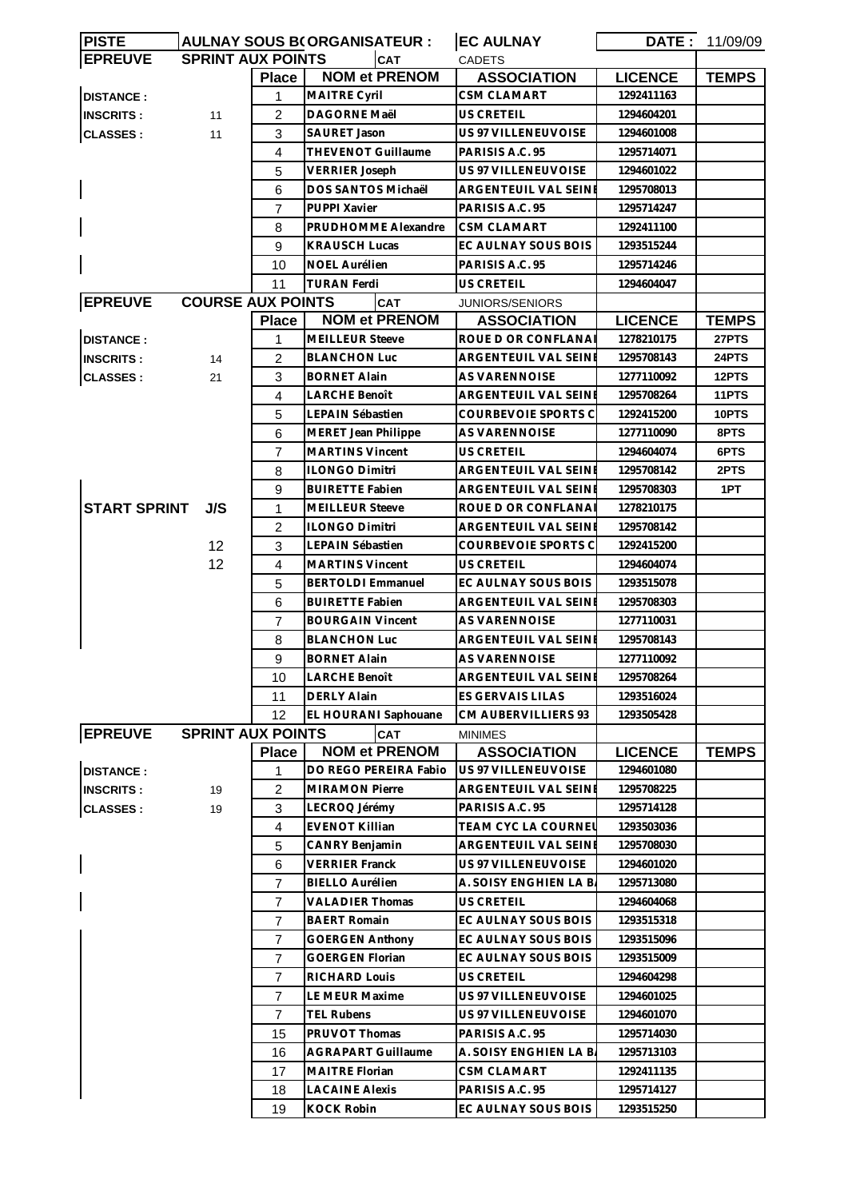| <b>PISTE</b>                               |  |     |                          | <b>AULNAY SOUS B(ORGANISATEUR:</b> | <b>EC AULNAY</b>            | DATE :         | 11/09/09     |
|--------------------------------------------|--|-----|--------------------------|------------------------------------|-----------------------------|----------------|--------------|
| <b>EPREUVE</b><br><b>SPRINT AUX POINTS</b> |  |     |                          | <b>CAT</b>                         | <b>CADETS</b>               |                |              |
|                                            |  |     | <b>Place</b>             | <b>NOM et PRENOM</b>               | <b>ASSOCIATION</b>          | <b>LICENCE</b> | <b>TEMPS</b> |
| <b>DISTANCE:</b>                           |  |     | 1                        | MAITRE Cyril                       | CSM CLAMART                 | 1292411163     |              |
| <b>INSCRITS:</b>                           |  | 11  | 2                        | DAGORNE Maël                       | US CRETEIL                  | 1294604201     |              |
| <b>CLASSES:</b>                            |  | 11  | 3                        | SAURET Jason                       | US 97 VILLENEUVOISE         | 1294601008     |              |
|                                            |  |     | 4                        | <b>THEVENOT Guillaume</b>          | PARISIS A.C. 95             | 1295714071     |              |
|                                            |  |     | 5                        | <b>VERRIER Joseph</b>              | US 97 VILLENEUVOISE         | 1294601022     |              |
|                                            |  |     | 6                        | DOS SANTOS Michaël                 | ARGENTEUIL VAL SEINE        | 1295708013     |              |
|                                            |  |     | $\overline{7}$           | PUPPI Xavier                       | PARISIS A.C. 95             | 1295714247     |              |
|                                            |  |     | 8                        | PRUDHOMME Alexandre                | <b>CSM CLAMART</b>          | 1292411100     |              |
|                                            |  |     | 9                        | <b>KRAUSCH Lucas</b>               | EC AULNAY SOUS BOIS         | 1293515244     |              |
|                                            |  |     | 10                       | <b>NOEL Aurélien</b>               | PARISIS A.C. 95             | 1295714246     |              |
|                                            |  |     | 11                       | <b>TURAN Ferdi</b>                 | US CRETEIL                  | 1294604047     |              |
| <b>EPREUVE</b>                             |  |     | <b>COURSE AUX POINTS</b> | <b>CAT</b>                         | JUNIORS/SENIORS             |                |              |
|                                            |  |     | <b>Place</b>             | <b>NOM et PRENOM</b>               | <b>ASSOCIATION</b>          | <b>LICENCE</b> | <b>TEMPS</b> |
| <b>DISTANCE:</b>                           |  |     | 1                        | <b>MEILLEUR Steeve</b>             | ROUE D OR CONFLANA          | 1278210175     | 27PTS        |
| <b>INSCRITS:</b>                           |  | 14  | 2                        | <b>BLANCHON Luc</b>                | ARGENTEUIL VAL SEINI        | 1295708143     | 24PTS        |
|                                            |  | 21  | 3                        | BORNET Alain                       | AS VARENNOISE               | 1277110092     | 12PTS        |
| <b>CLASSES:</b>                            |  |     | 4                        | LARCHE Benoît                      | ARGENTEUIL VAL SEINE        | 1295708264     | 11PTS        |
|                                            |  |     |                          | LEPAIN Sébastien                   | COURBEVOIE SPORTS C         |                | 10PTS        |
|                                            |  |     | 5                        |                                    |                             | 1292415200     |              |
|                                            |  |     | 6                        | MERET Jean Philippe                | AS VARENNOISE               | 1277110090     | 8PTS         |
|                                            |  |     | $\overline{7}$           | <b>MARTINS Vincent</b>             | US CRETEIL                  | 1294604074     | 6PTS         |
|                                            |  |     | 8                        | ILONGO Dimitri                     | ARGENTEUIL VAL SEINE        | 1295708142     | 2PTS         |
|                                            |  |     | 9                        | <b>BUIRETTE Fabien</b>             | ARGENTEUIL VAL SEINE        | 1295708303     | 1PT          |
| <b>START SPRINT</b>                        |  | J/S | $\mathbf{1}$             | <b>MEILLEUR Steeve</b>             | ROUE D OR CONFLANA          | 1278210175     |              |
|                                            |  |     | 2                        | <b>ILONGO Dimitri</b>              | ARGENTEUIL VAL SEINI        | 1295708142     |              |
|                                            |  | 12  | 3                        | LEPAIN Sébastien                   | COURBEVOIE SPORTS C         | 1292415200     |              |
|                                            |  | 12  | 4                        | <b>MARTINS Vincent</b>             | <b>US CRETEIL</b>           | 1294604074     |              |
|                                            |  |     | 5                        | <b>BERTOLDI</b> Emmanuel           | EC AULNAY SOUS BOIS         | 1293515078     |              |
|                                            |  |     | 6                        | <b>BUIRETTE Fabien</b>             | <b>ARGENTEUIL VAL SEINE</b> | 1295708303     |              |
|                                            |  |     | $\overline{7}$           | <b>BOURGAIN Vincent</b>            | <b>AS VARENNOISE</b>        | 1277110031     |              |
|                                            |  |     | 8                        | <b>BLANCHON Luc</b>                | <b>ARGENTEUIL VAL SEINE</b> | 1295708143     |              |
|                                            |  |     | 9                        | BORNET Alain                       | <b>AS VARENNOISE</b>        | 1277110092     |              |
|                                            |  |     | 10                       | <b>LARCHE Benoît</b>               | ARGENTEUIL VAL SEINE        | 1295708264     |              |
|                                            |  |     | 11                       | <b>DERLY Alain</b>                 | ES GERVAIS LILAS            | 1293516024     |              |
|                                            |  |     | 12                       | EL HOURANI Saphouane               | CM AUBERVILLIERS 93         | 1293505428     |              |
| <b>EPREUVE</b>                             |  |     | <b>SPRINT AUX POINTS</b> | CAT                                | <b>MINIMES</b>              |                |              |
|                                            |  |     | <b>Place</b>             | <b>NOM et PRENOM</b>               | <b>ASSOCIATION</b>          | <b>LICENCE</b> | <b>TEMPS</b> |
| <b>DISTANCE:</b>                           |  |     | 1                        | DO REGO PEREIRA Fabio              | US 97 VILLENEUVOISE         | 1294601080     |              |
| <b>INSCRITS:</b>                           |  | 19  | 2                        | <b>MIRAMON Pierre</b>              | ARGENTEUIL VAL SEINI        | 1295708225     |              |
| <b>CLASSES:</b>                            |  | 19  | 3                        | LECROQ Jérémy                      | PARISIS A.C. 95             | 1295714128     |              |
|                                            |  |     | 4                        | <b>EVENOT Killian</b>              | TEAM CYC LA COURNEL         | 1293503036     |              |
|                                            |  |     | 5                        | CANRY Benjamin                     | <b>ARGENTEUIL VAL SEINE</b> | 1295708030     |              |
|                                            |  |     | 6                        | <b>VERRIER Franck</b>              | US 97 VILLENEUVOISE         | 1294601020     |              |
|                                            |  |     | $\overline{7}$           | <b>BIELLO Aurélien</b>             | A. SOISY ENGHIEN LA B.      | 1295713080     |              |
|                                            |  |     | $\overline{7}$           | <b>VALADIER Thomas</b>             | <b>US CRETEIL</b>           | 1294604068     |              |
|                                            |  |     | $\overline{7}$           | <b>BAERT Romain</b>                | EC AULNAY SOUS BOIS         | 1293515318     |              |
|                                            |  |     | $\overline{7}$           | <b>GOERGEN Anthony</b>             | EC AULNAY SOUS BOIS         | 1293515096     |              |
|                                            |  |     | 7                        | <b>GOERGEN Florian</b>             | EC AULNAY SOUS BOIS         | 1293515009     |              |
|                                            |  |     | $\overline{7}$           | RICHARD Louis                      | US CRETEIL                  | 1294604298     |              |
|                                            |  |     |                          |                                    |                             |                |              |
|                                            |  |     | $\overline{7}$           | LE MEUR Maxime                     | US 97 VILLENEUVOISE         | 1294601025     |              |
|                                            |  |     | $\overline{7}$           | <b>TEL Rubens</b>                  | US 97 VILLENEUVOISE         | 1294601070     |              |
|                                            |  |     | 15                       | PRUVOT Thomas                      | PARISIS A.C. 95             | 1295714030     |              |
|                                            |  |     | 16                       | <b>AGRAPART Guillaume</b>          | A. SOISY ENGHIEN LA B.      | 1295713103     |              |
|                                            |  |     | 17                       | <b>MAITRE Florian</b>              | <b>CSM CLAMART</b>          | 1292411135     |              |
|                                            |  |     | 18                       | <b>LACAINE Alexis</b>              | PARISIS A.C. 95             | 1295714127     |              |
|                                            |  |     | 19                       | <b>KOCK Robin</b>                  | EC AULNAY SOUS BOIS         | 1293515250     |              |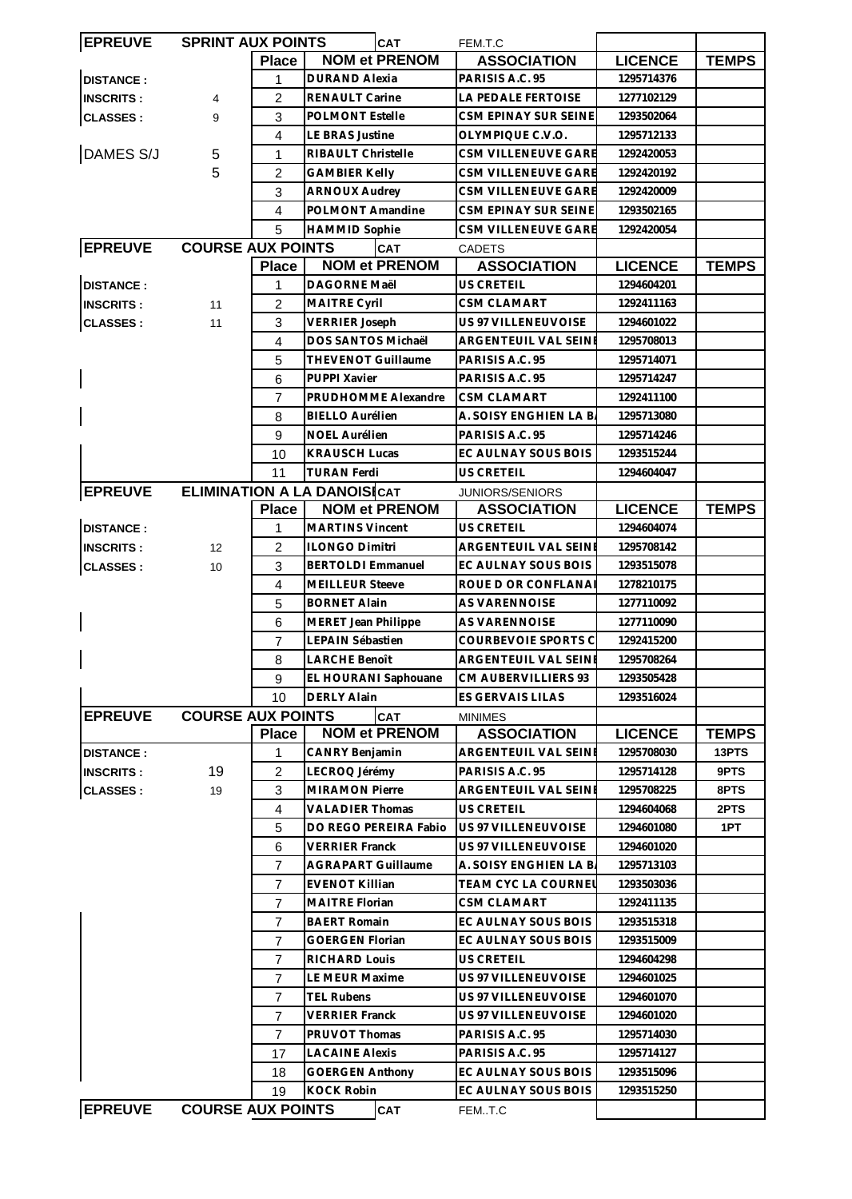| <b>EPREUVE</b>   | <b>SPRINT AUX POINTS</b>           |                | <b>CAT</b>                |                       | FEM.T.C                     |                |              |
|------------------|------------------------------------|----------------|---------------------------|-----------------------|-----------------------------|----------------|--------------|
|                  |                                    | <b>Place</b>   |                           | <b>NOM et PRENOM</b>  | <b>ASSOCIATION</b>          | <b>LICENCE</b> | <b>TEMPS</b> |
| <b>DISTANCE:</b> |                                    | 1              | <b>DURAND Alexia</b>      |                       | PARISIS A.C. 95             | 1295714376     |              |
| <b>INSCRITS:</b> | 4                                  | 2              | RENAULT Carine            |                       | LA PEDALE FERTOISE          | 1277102129     |              |
| <b>CLASSES:</b>  | 9                                  | 3              | <b>POLMONT Estelle</b>    |                       | CSM EPINAY SUR SEINE        | 1293502064     |              |
|                  |                                    | 4              | <b>LE BRAS Justine</b>    |                       | OLYMPIQUE C.V.O.            | 1295712133     |              |
| DAMES S/J        | 5                                  | 1              | RIBAULT Christelle        |                       | CSM VILLENEUVE GARE         | 1292420053     |              |
|                  | 5                                  | $\overline{c}$ | <b>GAMBIER Kelly</b>      |                       | CSM VILLENEUVE GARE         | 1292420192     |              |
|                  |                                    | 3              | <b>ARNOUX Audrey</b>      |                       | CSM VILLENEUVE GARE         | 1292420009     |              |
|                  |                                    | $\overline{4}$ | POLMONT Amandine          |                       | <b>CSM EPINAY SUR SEINE</b> | 1293502165     |              |
|                  |                                    | 5              | <b>HAMMID Sophie</b>      |                       | <b>CSM VILLENEUVE GARE</b>  | 1292420054     |              |
| <b>EPREUVE</b>   | <b>COURSE AUX POINTS</b>           |                |                           | <b>CAT</b>            | <b>CADETS</b>               |                |              |
|                  |                                    | <b>Place</b>   |                           | <b>NOM et PRENOM</b>  | <b>ASSOCIATION</b>          | <b>LICENCE</b> | <b>TEMPS</b> |
| <b>DISTANCE:</b> |                                    | 1              | DAGORNE Maël              |                       | <b>US CRETEIL</b>           | 1294604201     |              |
| <b>INSCRITS:</b> | 11                                 | $\overline{c}$ | MAITRE Cyril              |                       | CSM CLAMART                 | 1292411163     |              |
| <b>CLASSES:</b>  |                                    | 3              | <b>VERRIER Joseph</b>     |                       | US 97 VILLENEUVOISE         | 1294601022     |              |
|                  | 11                                 |                | DOS SANTOS Michaël        |                       |                             |                |              |
|                  |                                    | 4              |                           |                       | ARGENTEUIL VAL SEINE        | 1295708013     |              |
|                  |                                    | 5              | THEVENOT Guillaume        |                       | PARISIS A.C. 95             | 1295714071     |              |
|                  |                                    | 6              | PUPPI Xavier              |                       | PARISIS A.C. 95             | 1295714247     |              |
|                  |                                    | $\overline{7}$ |                           | PRUDHOMME Alexandre   | <b>CSM CLAMART</b>          | 1292411100     |              |
|                  |                                    | 8              | <b>BIELLO Aurélien</b>    |                       | A. SOISY ENGHIEN LA B.      | 1295713080     |              |
|                  |                                    | 9              | <b>NOEL Aurélien</b>      |                       | PARISIS A.C. 95             | 1295714246     |              |
|                  |                                    | 10             | <b>KRAUSCH Lucas</b>      |                       | EC AULNAY SOUS BOIS         | 1293515244     |              |
|                  |                                    | 11             | <b>TURAN Ferdi</b>        |                       | <b>US CRETEIL</b>           | 1294604047     |              |
| <b>EPREUVE</b>   | <b>ELIMINATION A LA DANOISICAT</b> |                |                           |                       | JUNIORS/SENIORS             |                |              |
|                  |                                    | <b>Place</b>   |                           | <b>NOM et PRENOM</b>  | <b>ASSOCIATION</b>          | <b>LICENCE</b> | <b>TEMPS</b> |
| <b>DISTANCE:</b> |                                    | 1              | <b>MARTINS Vincent</b>    |                       | <b>US CRETEIL</b>           | 1294604074     |              |
| <b>INSCRITS:</b> | 12                                 | $\overline{2}$ | <b>ILONGO Dimitri</b>     |                       | ARGENTEUIL VAL SEINE        | 1295708142     |              |
| <b>CLASSES:</b>  | 10                                 | 3              | <b>BERTOLDI Emmanuel</b>  |                       | EC AULNAY SOUS BOIS         | 1293515078     |              |
|                  |                                    | $\overline{4}$ | <b>MEILLEUR Steeve</b>    |                       | ROUE D OR CONFLANA          | 1278210175     |              |
|                  |                                    | 5              | <b>BORNET Alain</b>       |                       | <b>AS VARENNOISE</b>        | 1277110092     |              |
|                  |                                    | 6              | MERET Jean Philippe       |                       | <b>AS VARENNOISE</b>        | 1277110090     |              |
|                  |                                    | $\overline{7}$ | LEPAIN Sébastien          |                       | COURBEVOIE SPORTS C         | 1292415200     |              |
|                  |                                    | 8              | LARCHE Benoît             |                       | ARGENTEUIL VAL SEINE        | 1295708264     |              |
|                  |                                    | 9              |                           | EL HOURANI Saphouane  | CM AUBERVILLIERS 93         | 1293505428     |              |
|                  |                                    | 10             | <b>DERLY Alain</b>        |                       | ES GERVAIS LILAS            | 1293516024     |              |
| <b>EPREUVE</b>   | <b>COURSE AUX POINTS</b>           |                |                           | <b>CAT</b>            | <b>MINIMES</b>              |                |              |
|                  |                                    | <b>Place</b>   |                           | <b>NOM et PRENOM</b>  | <b>ASSOCIATION</b>          | <b>LICENCE</b> | <b>TEMPS</b> |
| <b>DISTANCE:</b> |                                    | 1              | CANRY Benjamin            |                       | <b>ARGENTEUIL VAL SEINE</b> | 1295708030     | 13PTS        |
| <b>INSCRITS:</b> | 19                                 | $\overline{c}$ | LECROQ Jérémy             |                       | PARISIS A.C. 95             | 1295714128     | 9PTS         |
| <b>CLASSES:</b>  | 19                                 | 3              | <b>MIRAMON Pierre</b>     |                       | <b>ARGENTEUIL VAL SEINE</b> | 1295708225     | 8PTS         |
|                  |                                    | $\overline{4}$ | <b>VALADIER Thomas</b>    |                       | US CRETEIL                  | 1294604068     | 2PTS         |
|                  |                                    | 5              |                           | DO REGO PEREIRA Fabio | US 97 VILLENEUVOISE         | 1294601080     | 1PT          |
|                  |                                    | 6              | <b>VERRIER Franck</b>     |                       | US 97 VILLENEUVOISE         | 1294601020     |              |
|                  |                                    | 7              | <b>AGRAPART Guillaume</b> |                       | A. SOISY ENGHIEN LA B.      | 1295713103     |              |
|                  |                                    | 7              | <b>EVENOT Killian</b>     |                       | TEAM CYC LA COURNEL         | 1293503036     |              |
|                  |                                    | $\overline{7}$ | <b>MAITRE Florian</b>     |                       | <b>CSM CLAMART</b>          | 1292411135     |              |
|                  |                                    | $\overline{7}$ | <b>BAERT Romain</b>       |                       | EC AULNAY SOUS BOIS         | 1293515318     |              |
|                  |                                    | $\overline{7}$ | <b>GOERGEN Florian</b>    |                       | EC AULNAY SOUS BOIS         | 1293515009     |              |
|                  |                                    |                |                           |                       |                             |                |              |
|                  |                                    | 7              | <b>RICHARD Louis</b>      |                       | <b>US CRETEIL</b>           | 1294604298     |              |
|                  |                                    | 7              | LE MEUR Maxime            |                       | US 97 VILLENEUVOISE         | 1294601025     |              |
|                  |                                    | $\overline{7}$ | <b>TEL Rubens</b>         |                       | US 97 VILLENEUVOISE         | 1294601070     |              |
|                  |                                    | 7              | <b>VERRIER Franck</b>     |                       | US 97 VILLENEUVOISE         | 1294601020     |              |
|                  |                                    | $\overline{7}$ | PRUVOT Thomas             |                       | PARISIS A.C. 95             | 1295714030     |              |
|                  |                                    | 17             | <b>LACAINE Alexis</b>     |                       | PARISIS A.C. 95             | 1295714127     |              |
|                  |                                    | 18             | <b>GOERGEN Anthony</b>    |                       | EC AULNAY SOUS BOIS         | 1293515096     |              |
|                  |                                    | 19             | <b>KOCK Robin</b>         |                       | EC AULNAY SOUS BOIS         | 1293515250     |              |
| <b>EPREUVE</b>   | <b>COURSE AUX POINTS</b>           |                |                           | <b>CAT</b>            | FEM.T.C                     |                |              |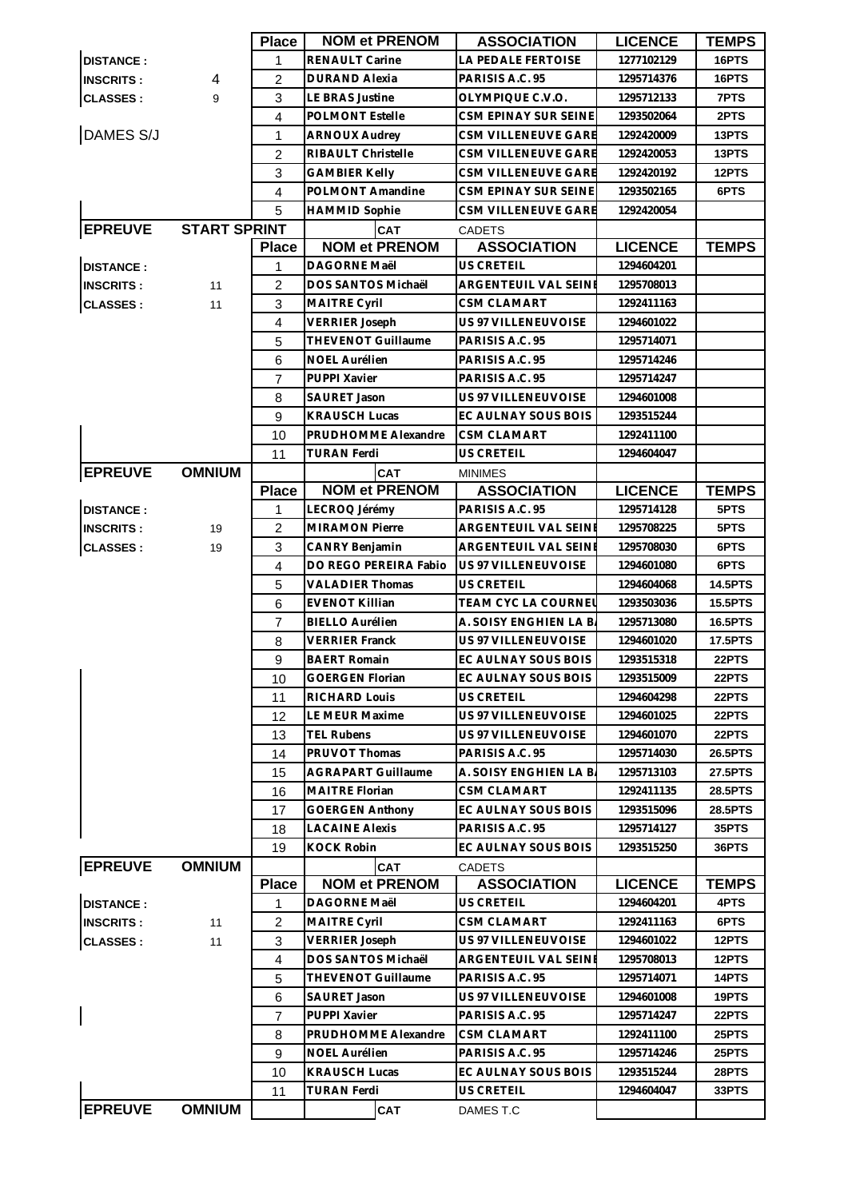|                  |                     | <b>Place</b>   | <b>NOM et PRENOM</b>      | <b>ASSOCIATION</b>         | <b>LICENCE</b> | <b>TEMPS</b>   |
|------------------|---------------------|----------------|---------------------------|----------------------------|----------------|----------------|
| <b>DISTANCE:</b> |                     | 1              | RENAULT Carine            | LA PEDALE FERTOISE         | 1277102129     | 16PTS          |
| <b>INSCRITS:</b> | 4                   | 2              | <b>DURAND Alexia</b>      | PARISIS A.C. 95            | 1295714376     | 16PTS          |
| <b>CLASSES:</b>  | 9                   | 3              | LE BRAS Justine           | OLYMPIQUE C.V.O.           | 1295712133     | 7PTS           |
|                  |                     | 4              | <b>POLMONT Estelle</b>    | CSM EPINAY SUR SEINE       | 1293502064     | 2PTS           |
| DAMES S/J        |                     | $\mathbf{1}$   | <b>ARNOUX Audrey</b>      | CSM VILLENEUVE GARE        | 1292420009     | 13PTS          |
|                  |                     | 2              | RIBAULT Christelle        | <b>CSM VILLENEUVE GARE</b> | 1292420053     | 13PTS          |
|                  |                     | 3              | <b>GAMBIER Kelly</b>      | CSM VILLENEUVE GARE        | 1292420192     | 12PTS          |
|                  |                     | $\overline{4}$ | POLMONT Amandine          | CSM EPINAY SUR SEINE       | 1293502165     | 6PTS           |
|                  |                     | 5              | <b>HAMMID Sophie</b>      | CSM VILLENEUVE GARE        | 1292420054     |                |
| <b>EPREUVE</b>   | <b>START SPRINT</b> |                | CAT                       | <b>CADETS</b>              |                |                |
|                  |                     | <b>Place</b>   | <b>NOM et PRENOM</b>      | <b>ASSOCIATION</b>         | <b>LICENCE</b> | <b>TEMPS</b>   |
| <b>DISTANCE:</b> |                     | 1              | <b>DAGORNE Maël</b>       | <b>US CRETEIL</b>          | 1294604201     |                |
| <b>INSCRITS:</b> | 11                  | $\overline{2}$ | DOS SANTOS Michaël        | ARGENTEUIL VAL SEINE       | 1295708013     |                |
| <b>CLASSES:</b>  | 11                  | 3              | MAITRE Cyril              | CSM CLAMART                | 1292411163     |                |
|                  |                     | $\overline{4}$ | <b>VERRIER Joseph</b>     | US 97 VILLENEUVOISE        | 1294601022     |                |
|                  |                     | 5              | <b>THEVENOT Guillaume</b> | PARISIS A.C. 95            | 1295714071     |                |
|                  |                     | 6              | NOEL Aurélien             | PARISIS A.C. 95            | 1295714246     |                |
|                  |                     |                |                           |                            |                |                |
|                  |                     | 7              | PUPPI Xavier              | PARISIS A.C. 95            | 1295714247     |                |
|                  |                     | 8              | <b>SAURET Jason</b>       | US 97 VILLENEUVOISE        | 1294601008     |                |
|                  |                     | 9              | <b>KRAUSCH Lucas</b>      | EC AULNAY SOUS BOIS        | 1293515244     |                |
|                  |                     | 10             | PRUDHOMME Alexandre       | <b>CSM CLAMART</b>         | 1292411100     |                |
|                  |                     | 11             | TURAN Ferdi               | US CRETEIL                 | 1294604047     |                |
| <b>EPREUVE</b>   | <b>OMNIUM</b>       |                | <b>CAT</b>                | <b>MINIMES</b>             |                |                |
|                  |                     | <b>Place</b>   | <b>NOM et PRENOM</b>      | <b>ASSOCIATION</b>         | <b>LICENCE</b> | <b>TEMPS</b>   |
| <b>DISTANCE:</b> |                     | 1              | LECROQ Jérémy             | PARISIS A.C. 95            | 1295714128     | 5PTS           |
| <b>INSCRITS:</b> | 19                  | $\overline{2}$ | <b>MIRAMON Pierre</b>     | ARGENTEUIL VAL SEINE       | 1295708225     | 5PTS           |
| <b>CLASSES:</b>  | 19                  | 3              | CANRY Benjamin            | ARGENTEUIL VAL SEINE       | 1295708030     | 6PTS           |
|                  |                     | $\overline{4}$ | DO REGO PEREIRA Fabio     | US 97 VILLENEUVOISE        | 1294601080     | 6PTS           |
|                  |                     | 5              | <b>VALADIER Thomas</b>    | US CRETEIL                 | 1294604068     | <b>14.5PTS</b> |
|                  |                     | 6              | <b>EVENOT Killian</b>     | TEAM CYC LA COURNEl        | 1293503036     | 15.5PTS        |
|                  |                     | $\overline{7}$ | <b>BIELLO Aurélien</b>    | A. SOISY ENGHIEN LA B.     | 1295713080     | <b>16.5PTS</b> |
|                  |                     | 8              | <b>VERRIER Franck</b>     | US 97 VILLENEUVOISE        | 1294601020     | 17.5PTS        |
|                  |                     | 9              | <b>BAERT Romain</b>       | EC AULNAY SOUS BOIS        | 1293515318     | 22PTS          |
|                  |                     | 10             | GOERGEN Florian           | EC AULNAY SOUS BOIS        | 1293515009     | 22PTS          |
|                  |                     | 11             | RICHARD Louis             | US CRETEIL                 | 1294604298     | 22PTS          |
|                  |                     | 12             | LE MEUR Maxime            | <b>US 97 VILLENEUVOISE</b> | 1294601025     | 22PTS          |
|                  |                     | 13             | TEL Rubens                | US 97 VILLENEUVOISE        | 1294601070     | 22PTS          |
|                  |                     | 14             | <b>PRUVOT Thomas</b>      | PARISIS A.C. 95            | 1295714030     | 26.5PTS        |
|                  |                     | 15             | AGRAPART Guillaume        | A. SOISY ENGHIEN LA B.     | 1295713103     | 27.5PTS        |
|                  |                     | 16             | <b>MAITRE Florian</b>     | CSM CLAMART                | 1292411135     | 28.5PTS        |
|                  |                     | 17             | <b>GOERGEN Anthony</b>    | EC AULNAY SOUS BOIS        | 1293515096     | 28.5PTS        |
|                  |                     | 18             | <b>LACAINE Alexis</b>     | PARISIS A.C. 95            | 1295714127     | 35PTS          |
|                  |                     | 19             | KOCK Robin                | EC AULNAY SOUS BOIS        | 1293515250     | 36PTS          |
| <b>EPREUVE</b>   | <b>OMNIUM</b>       |                | <b>CAT</b>                | <b>CADETS</b>              |                |                |
|                  |                     | <b>Place</b>   | <b>NOM et PRENOM</b>      | <b>ASSOCIATION</b>         | <b>LICENCE</b> | <b>TEMPS</b>   |
| <b>DISTANCE:</b> |                     | 1              | DAGORNE Maël              | US CRETEIL                 | 1294604201     | 4PTS           |
| <b>INSCRITS:</b> | 11                  | $\overline{c}$ | <b>MAITRE Cyril</b>       | <b>CSM CLAMART</b>         | 1292411163     | 6PTS           |
| <b>CLASSES:</b>  | 11                  | 3              | <b>VERRIER Joseph</b>     | US 97 VILLENEUVOISE        | 1294601022     | 12PTS          |
|                  |                     | $\overline{4}$ | DOS SANTOS Michaël        | ARGENTEUIL VAL SEINI       | 1295708013     | 12PTS          |
|                  |                     | 5              | <b>THEVENOT Guillaume</b> | PARISIS A.C. 95            | 1295714071     | 14PTS          |
|                  |                     | 6              | SAURET Jason              | US 97 VILLENEUVOISE        | 1294601008     | 19PTS          |
|                  |                     | $\overline{7}$ | PUPPI Xavier              | PARISIS A.C. 95            | 1295714247     | 22PTS          |
|                  |                     | 8              | PRUDHOMME Alexandre       | CSM CLAMART                | 1292411100     | 25PTS          |
|                  |                     | 9              | NOEL Aurélien             | PARISIS A.C. 95            | 1295714246     | 25PTS          |
|                  |                     | 10             | <b>KRAUSCH Lucas</b>      | EC AULNAY SOUS BOIS        | 1293515244     | 28PTS          |
|                  |                     | 11             | <b>TURAN Ferdi</b>        | US CRETEIL                 | 1294604047     | 33PTS          |
| <b>EPREUVE</b>   | <b>OMNIUM</b>       |                | <b>CAT</b>                | DAMES T.C                  |                |                |
|                  |                     |                |                           |                            |                |                |